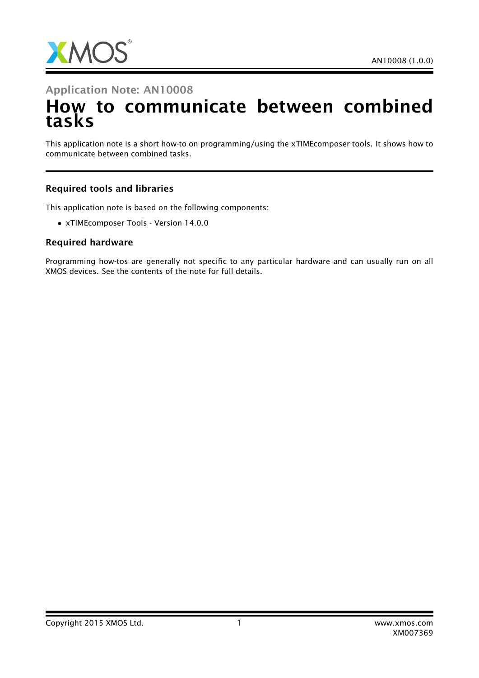

## Application Note: AN10008

# How to communicate between combined tasks

This application note is a short how-to on programming/using the xTIMEcomposer tools. It shows how to communicate between combined tasks.

#### Required tools and libraries

This application note is based on the following components:

• xTIMEcomposer Tools - Version 14.0.0

#### Required hardware

Programming how-tos are generally not specific to any particular hardware and can usually run on all XMOS devices. See the contents of the note for full details.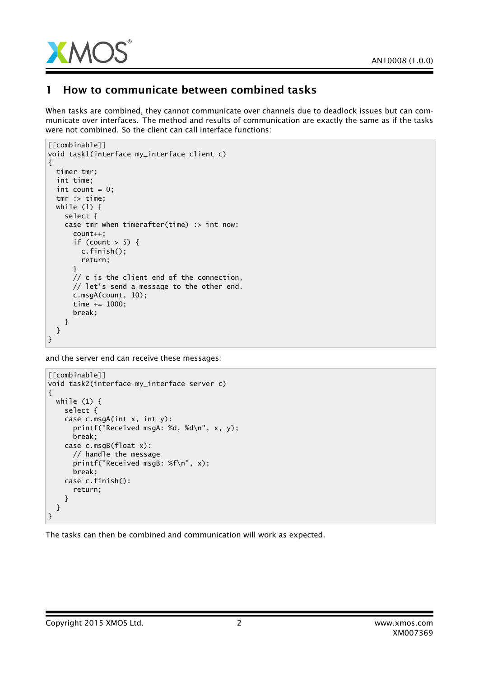

## 1 How to communicate between combined tasks

When tasks are combined, they cannot communicate over channels due to deadlock issues but can communicate over interfaces. The method and results of communication are exactly the same as if the tasks were not combined. So the client can call interface functions:

```
[[combinable]]
void task1(interface my_interface client c)
{
 timer tmr;
 int time;
 int count = 0;
 tmr :> time;
 while (1) {
    select {
    case tmr when timerafter(time) :> int now:
      count++;
      if (count > 5) {
        c.finish();
        return;
      }
      // c is the client end of the connection,
      // let's send a message to the other end.
      c.msgA(count, 10);
      time += 1000;
      break;
    }
 }
}
```
and the server end can receive these messages:

```
[[combinable]]
void task2(interface my_interface server c)
{
 while (1) {
    select {
    case c.msgA(int x, int y):
      printf("Received msgA: %d, %d\n", x, y);
      break;
    case c.msgB(float x):
      // handle the message
      printf("Received msgB: %f\n", x);
      break;
    case c.finish():
      return;
   }
 }
}
```
The tasks can then be combined and communication will work as expected.